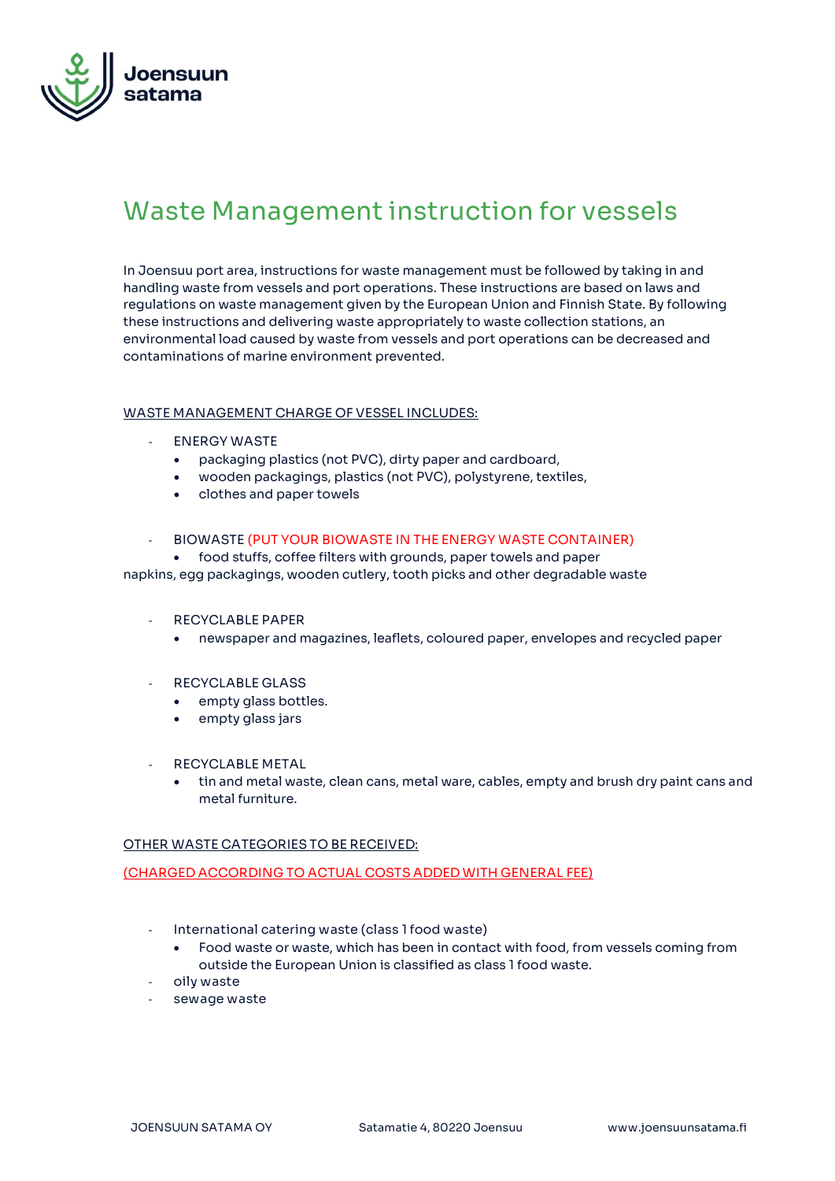

## **Waste Management instruction for vessels**

In Joensuu port area, instructions for waste management must be followed by taking in and handling waste from vessels and port operations. These instructions are based on laws and regulations on waste management given by the European Union and Finnish State. By following these instructions and delivering waste appropriately to waste collection stations, an environmental load caused by waste from vessels and port operations can be decreased and contaminations of marine environment prevented.

## **WASTE MANAGEMENT CHARGE OF VESSEL INCLUDES:**

- **ENERGY WASTE**
	- packaging plastics (not PVC), dirty paper and cardboard,
	- wooden packagings, plastics (not PVC), polystyrene, textiles,
	- clothes and paper towels

## - **BIOWASTE (PUT YOUR BIOWASTE IN THE ENERGY WASTE CONTAINER)**

• food stuffs, coffee filters with grounds, paper towels and paper

napkins, egg packagings, wooden cutlery, tooth picks and other degradable waste

- **RECYCLABLE PAPER**
	- newspaper and magazines, leaflets, coloured paper, envelopes and recycled paper
- **RECYCLABLE GLASS**
	- empty glass bottles.
	- empty glass jars
- **RECYCLABLE METAL**
	- tin and metal waste, clean cans, metal ware, cables, empty and brush dry paint cans and metal furniture.

## **OTHER WASTE CATEGORIES TO BE RECEIVED:**

**(CHARGED ACCORDING TO ACTUAL COSTS ADDED WITH GENERAL FEE)**

- **International catering waste (class 1 food waste)**
	- Food waste or waste, which has been in contact with food, from vessels coming from outside the European Union is classified as class 1 food waste.
- **oily waste**
- **sewage waste**